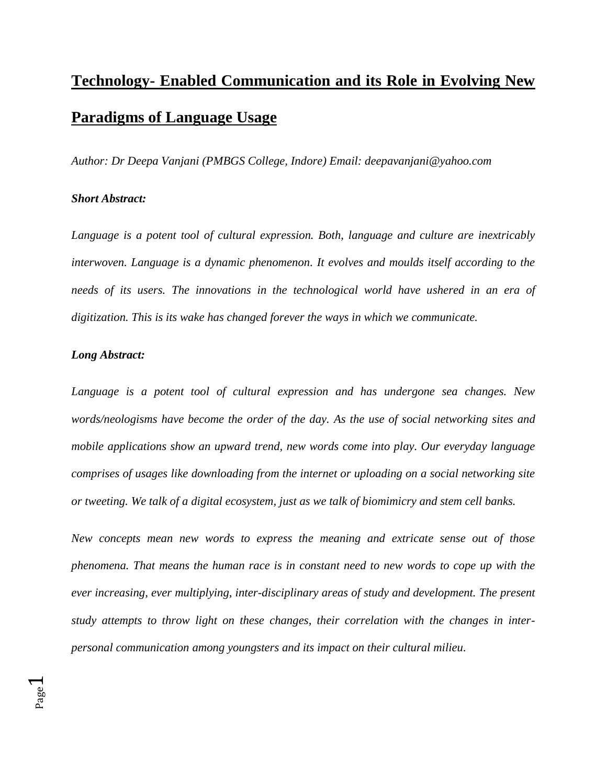## **Technology- Enabled Communication and its Role in Evolving New Paradigms of Language Usage**

*Author: Dr Deepa Vanjani (PMBGS College, Indore) Email: deepavanjani@yahoo.com*

## *Short Abstract:*

*Language is a potent tool of cultural expression. Both, language and culture are inextricably interwoven. Language is a dynamic phenomenon. It evolves and moulds itself according to the needs of its users. The innovations in the technological world have ushered in an era of digitization. This is its wake has changed forever the ways in which we communicate.* 

## *Long Abstract:*

Page  $\overline{\phantom{0}}$ 

*Language is a potent tool of cultural expression and has undergone sea changes. New words/neologisms have become the order of the day. As the use of social networking sites and mobile applications show an upward trend, new words come into play. Our everyday language comprises of usages like downloading from the internet or uploading on a social networking site or tweeting. We talk of a digital ecosystem, just as we talk of biomimicry and stem cell banks.* 

*New concepts mean new words to express the meaning and extricate sense out of those phenomena. That means the human race is in constant need to new words to cope up with the ever increasing, ever multiplying, inter-disciplinary areas of study and development. The present study attempts to throw light on these changes, their correlation with the changes in interpersonal communication among youngsters and its impact on their cultural milieu.*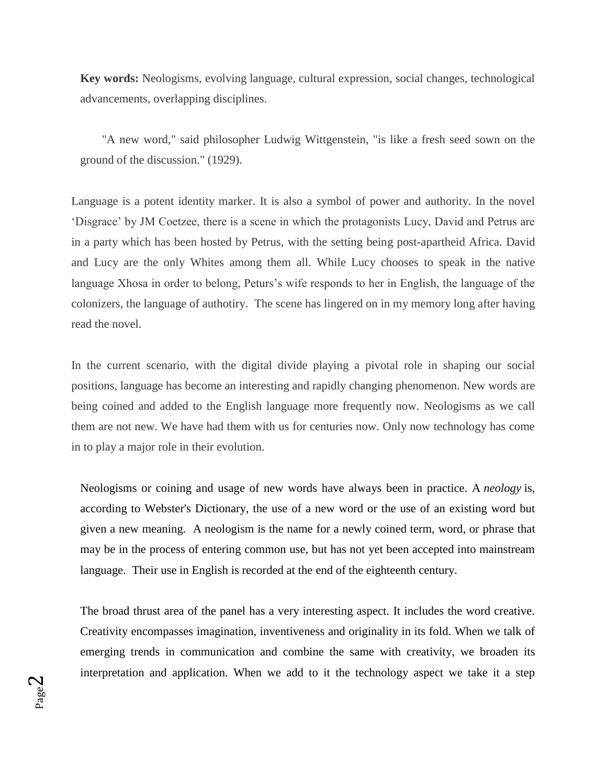**Key words:** Neologisms, evolving language, cultural expression, social changes, technological advancements, overlapping disciplines.

"A new word," said philosopher Ludwig Wittgenstein, "is like a fresh seed sown on the ground of the discussion." (1929).

Language is a potent identity marker. It is also a symbol of power and authority. In the novel 'Disgrace' by JM Coetzee, there is a scene in which the protagonists Lucy, David and Petrus are in a party which has been hosted by Petrus, with the setting being post-apartheid Africa. David and Lucy are the only Whites among them all. While Lucy chooses to speak in the native language Xhosa in order to belong, Peturs's wife responds to her in English, the language of the colonizers, the language of authotiry. The scene has lingered on in my memory long after having read the novel.

In the current scenario, with the digital divide playing a pivotal role in shaping our social positions, language has become an interesting and rapidly changing phenomenon. New words are being coined and added to the English language more frequently now. Neologisms as we call them are not new. We have had them with us for centuries now. Only now technology has come in to play a major role in their evolution.

Neologisms or coining and usage of new words have always been in practice. A *neology* is, according to Webster's Dictionary, the use of a new word or the use of an existing word but given a new meaning. A neologism is the name for a newly coined term, word, or phrase that may be in the process of entering common use, but has not yet been accepted into mainstream language. Their use in English is recorded at the end of the eighteenth century.

The broad thrust area of the panel has a very interesting aspect. It includes the word creative. Creativity encompasses imagination, inventiveness and originality in its fold. When we talk of emerging trends in communication and combine the same with creativity, we broaden its interpretation and application. When we add to it the technology aspect we take it a step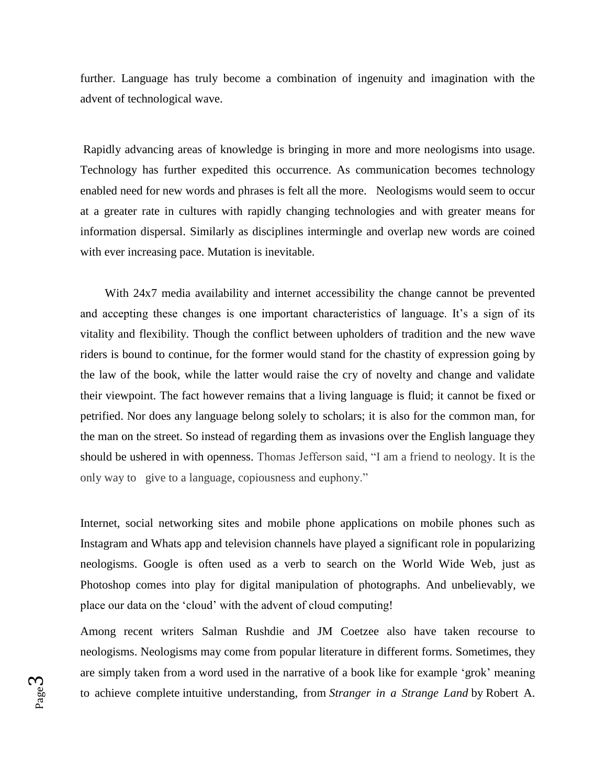further. Language has truly become a combination of ingenuity and imagination with the advent of technological wave.

Rapidly advancing areas of knowledge is bringing in more and more neologisms into usage. Technology has further expedited this occurrence. As communication becomes technology enabled need for new words and phrases is felt all the more. Neologisms would seem to occur at a greater rate in cultures with rapidly changing technologies and with greater means for information dispersal. Similarly as disciplines intermingle and overlap new words are coined with ever increasing pace. Mutation is inevitable.

With 24x7 media availability and internet accessibility the change cannot be prevented and accepting these changes is one important characteristics of language. It's a sign of its vitality and flexibility. Though the conflict between upholders of tradition and the new wave riders is bound to continue, for the former would stand for the chastity of expression going by the law of the book, while the latter would raise the cry of novelty and change and validate their viewpoint. The fact however remains that a living language is fluid; it cannot be fixed or petrified. Nor does any language belong solely to scholars; it is also for the common man, for the man on the street. So instead of regarding them as invasions over the English language they should be ushered in with openness. Thomas Jefferson said, "I am a friend to neology. It is the only way to give to a language, copiousness and euphony."

Internet, social networking sites and mobile phone applications on mobile phones such as Instagram and Whats app and television channels have played a significant role in popularizing neologisms. Google is often used as a verb to search on the World Wide Web, just as Photoshop comes into play for digital manipulation of photographs. And unbelievably, we place our data on the 'cloud' with the advent of cloud computing!

Among recent writers Salman Rushdie and JM Coetzee also have taken recourse to neologisms. Neologisms may come from popular literature in different forms. Sometimes, they are simply taken from a word used in the narrative of a book like for example 'grok' meaning to achieve complete intuitive understanding, from *Stranger in a Strange Land* by Robert A.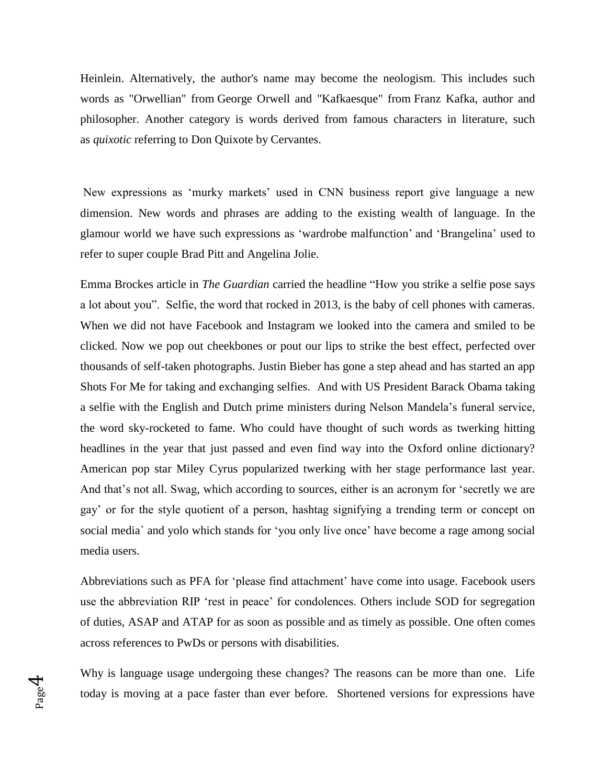Heinlein. Alternatively, the author's name may become the neologism. This includes such words as "Orwellian" from George Orwell and "Kafkaesque" from Franz Kafka, author and philosopher. Another category is words derived from famous characters in literature, such as *quixotic* referring to Don Quixote by Cervantes.

New expressions as 'murky markets' used in CNN business report give language a new dimension. New words and phrases are adding to the existing wealth of language. In the glamour world we have such expressions as 'wardrobe malfunction' and 'Brangelina' used to refer to super couple Brad Pitt and Angelina Jolie.

Emma Brockes article in *The Guardian* carried the headline "How you strike a selfie pose says a lot about you". Selfie, the word that rocked in 2013, is the baby of cell phones with cameras. When we did not have Facebook and Instagram we looked into the camera and smiled to be clicked. Now we pop out cheekbones or pout our lips to strike the best effect, perfected over thousands of self-taken photographs. Justin Bieber has gone a step ahead and has started an app Shots For Me for taking and exchanging selfies. And with US President Barack Obama taking a selfie with the English and Dutch prime ministers during Nelson Mandela's funeral service, the word sky-rocketed to fame. Who could have thought of such words as twerking hitting headlines in the year that just passed and even find way into the Oxford online dictionary? American pop star Miley Cyrus popularized twerking with her stage performance last year. And that's not all. Swag, which according to sources, either is an acronym for 'secretly we are gay' or for the style quotient of a person, hashtag signifying a trending term or concept on social media` and yolo which stands for 'you only live once' have become a rage among social media users.

Abbreviations such as PFA for 'please find attachment' have come into usage. Facebook users use the abbreviation RIP 'rest in peace' for condolences. Others include SOD for segregation of duties, ASAP and ATAP for as soon as possible and as timely as possible. One often comes across references to PwDs or persons with disabilities.

Why is language usage undergoing these changes? The reasons can be more than one. Life today is moving at a pace faster than ever before. Shortened versions for expressions have

Page 4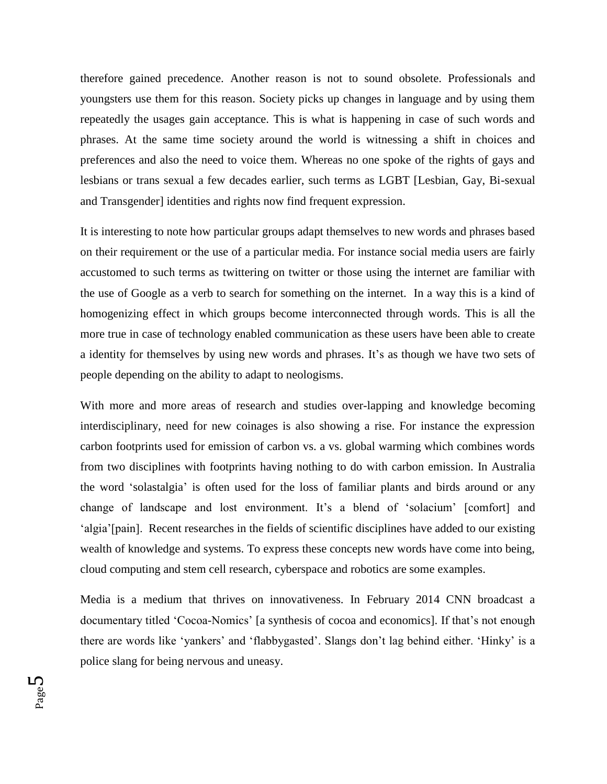therefore gained precedence. Another reason is not to sound obsolete. Professionals and youngsters use them for this reason. Society picks up changes in language and by using them repeatedly the usages gain acceptance. This is what is happening in case of such words and phrases. At the same time society around the world is witnessing a shift in choices and preferences and also the need to voice them. Whereas no one spoke of the rights of gays and lesbians or trans sexual a few decades earlier, such terms as LGBT [Lesbian, Gay, Bi-sexual and Transgender] identities and rights now find frequent expression.

It is interesting to note how particular groups adapt themselves to new words and phrases based on their requirement or the use of a particular media. For instance social media users are fairly accustomed to such terms as twittering on twitter or those using the internet are familiar with the use of Google as a verb to search for something on the internet. In a way this is a kind of homogenizing effect in which groups become interconnected through words. This is all the more true in case of technology enabled communication as these users have been able to create a identity for themselves by using new words and phrases. It's as though we have two sets of people depending on the ability to adapt to neologisms.

With more and more areas of research and studies over-lapping and knowledge becoming interdisciplinary, need for new coinages is also showing a rise. For instance the expression carbon footprints used for emission of carbon vs. a vs. global warming which combines words from two disciplines with footprints having nothing to do with carbon emission. In Australia the word 'solastalgia' is often used for the loss of familiar plants and birds around or any change of landscape and lost environment. It's a blend of 'solacium' [comfort] and 'algia'[pain]. Recent researches in the fields of scientific disciplines have added to our existing wealth of knowledge and systems. To express these concepts new words have come into being, cloud computing and stem cell research, cyberspace and robotics are some examples.

Media is a medium that thrives on innovativeness. In February 2014 CNN broadcast a documentary titled 'Cocoa-Nomics' [a synthesis of cocoa and economics]. If that's not enough there are words like 'yankers' and 'flabbygasted'. Slangs don't lag behind either. 'Hinky' is a police slang for being nervous and uneasy.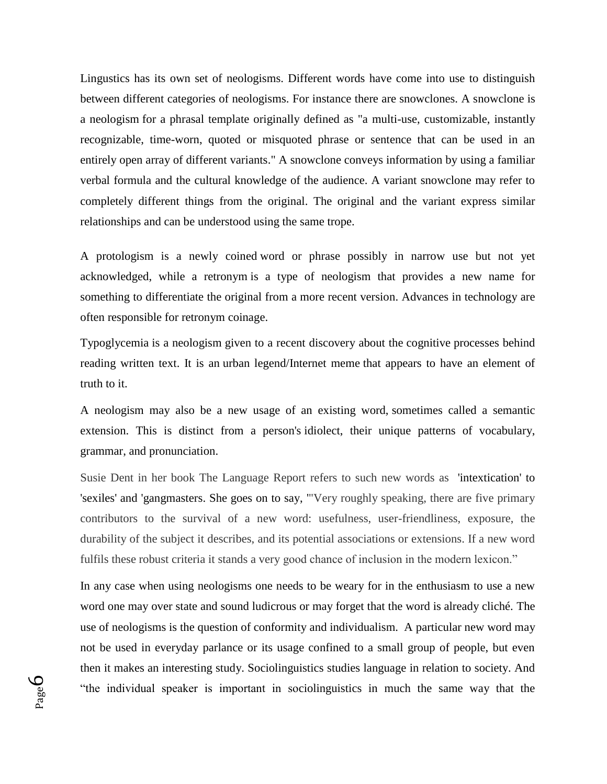Lingustics has its own set of neologisms. Different words have come into use to distinguish between different categories of neologisms. For instance there are snowclones. A snowclone is a neologism for a phrasal template originally defined as "a multi-use, customizable, instantly recognizable, time-worn, quoted or misquoted phrase or sentence that can be used in an entirely open array of different variants." A snowclone conveys information by using a familiar verbal formula and the cultural knowledge of the audience. A variant snowclone may refer to completely different things from the original. The original and the variant express similar relationships and can be understood using the same trope.

A protologism is a newly coined word or phrase possibly in narrow use but not yet acknowledged, while a retronym is a type of neologism that provides a new name for something to differentiate the original from a more recent version. Advances in technology are often responsible for retronym coinage.

Typoglycemia is a neologism given to a recent discovery about the cognitive processes behind reading written text. It is an urban legend/Internet meme that appears to have an element of truth to it.

A neologism may also be a new usage of an existing word, sometimes called a semantic extension. This is distinct from a person's idiolect, their unique patterns of vocabulary, grammar, and pronunciation.

Susie Dent in her book The Language Report refers to such new words as 'intextication' to 'sexiles' and 'gangmasters. She goes on to say, '"Very roughly speaking, there are five primary contributors to the survival of a new word: usefulness, user-friendliness, exposure, the durability of the subject it describes, and its potential associations or extensions. If a new word fulfils these robust criteria it stands a very good chance of inclusion in the modern lexicon."

In any case when using neologisms one needs to be weary for in the enthusiasm to use a new word one may over state and sound ludicrous or may forget that the word is already cliché. The use of neologisms is the question of conformity and individualism. A particular new word may not be used in everyday parlance or its usage confined to a small group of people, but even then it makes an interesting study. Sociolinguistics studies language in relation to society. And "the individual speaker is important in sociolinguistics in much the same way that the